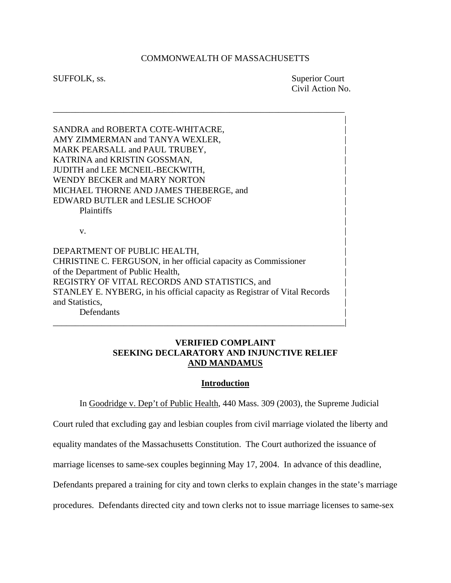## COMMONWEALTH OF MASSACHUSETTS

\_\_\_\_\_\_\_\_\_\_\_\_\_\_\_\_\_\_\_\_\_\_\_\_\_\_\_\_\_\_\_\_\_\_\_\_\_\_\_\_\_\_\_\_\_\_\_\_\_\_\_\_\_\_\_\_\_\_\_\_\_\_\_\_\_\_ in the state of the state of the state of the state of the state of the state of the state of the state of the

SUFFOLK, ss. Superior Court Civil Action No.

SANDRA and ROBERTA COTE-WHITACRE, AMY ZIMMERMAN and TANYA WEXLER, MARK PEARSALL and PAUL TRUBEY, KATRINA and KRISTIN GOSSMAN, JUDITH and LEE MCNEIL-BECKWITH, WENDY BECKER and MARY NORTON MICHAEL THORNE AND JAMES THEBERGE, and | EDWARD BUTLER and LESLIE SCHOOF | Plaintiffs **Plaintiffs** in the state of the state of the state of the state of the state of the state of the state of the state of the  $\mathbf v$ . in the state of the state of the state of the state of the state of the state of the state of the state of the DEPARTMENT OF PUBLIC HEALTH, CHRISTINE C. FERGUSON, in her official capacity as Commissioner | of the Department of Public Health, | REGISTRY OF VITAL RECORDS AND STATISTICS, and STANLEY E. NYBERG, in his official capacity as Registrar of Vital Records | and Statistics, |

**Defendants** 

## **VERIFIED COMPLAINT SEEKING DECLARATORY AND INJUNCTIVE RELIEF AND MANDAMUS**

\_\_\_\_\_\_\_\_\_\_\_\_\_\_\_\_\_\_\_\_\_\_\_\_\_\_\_\_\_\_\_\_\_\_\_\_\_\_\_\_\_\_\_\_\_\_\_\_\_\_\_\_\_\_\_\_\_\_\_\_\_\_\_\_\_\_|

## **Introduction**

In Goodridge v. Dep't of Public Health, 440 Mass. 309 (2003), the Supreme Judicial

Court ruled that excluding gay and lesbian couples from civil marriage violated the liberty and

equality mandates of the Massachusetts Constitution. The Court authorized the issuance of

marriage licenses to same-sex couples beginning May 17, 2004. In advance of this deadline,

Defendants prepared a training for city and town clerks to explain changes in the state's marriage

procedures. Defendants directed city and town clerks not to issue marriage licenses to same-sex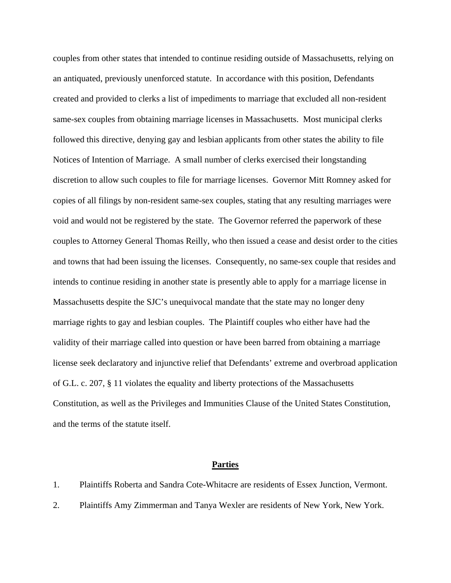couples from other states that intended to continue residing outside of Massachusetts, relying on an antiquated, previously unenforced statute. In accordance with this position, Defendants created and provided to clerks a list of impediments to marriage that excluded all non-resident same-sex couples from obtaining marriage licenses in Massachusetts. Most municipal clerks followed this directive, denying gay and lesbian applicants from other states the ability to file Notices of Intention of Marriage. A small number of clerks exercised their longstanding discretion to allow such couples to file for marriage licenses. Governor Mitt Romney asked for copies of all filings by non-resident same-sex couples, stating that any resulting marriages were void and would not be registered by the state. The Governor referred the paperwork of these couples to Attorney General Thomas Reilly, who then issued a cease and desist order to the cities and towns that had been issuing the licenses. Consequently, no same-sex couple that resides and intends to continue residing in another state is presently able to apply for a marriage license in Massachusetts despite the SJC's unequivocal mandate that the state may no longer deny marriage rights to gay and lesbian couples. The Plaintiff couples who either have had the validity of their marriage called into question or have been barred from obtaining a marriage license seek declaratory and injunctive relief that Defendants' extreme and overbroad application of G.L. c. 207, § 11 violates the equality and liberty protections of the Massachusetts Constitution, as well as the Privileges and Immunities Clause of the United States Constitution, and the terms of the statute itself.

#### **Parties**

1. Plaintiffs Roberta and Sandra Cote-Whitacre are residents of Essex Junction, Vermont. 2. Plaintiffs Amy Zimmerman and Tanya Wexler are residents of New York, New York.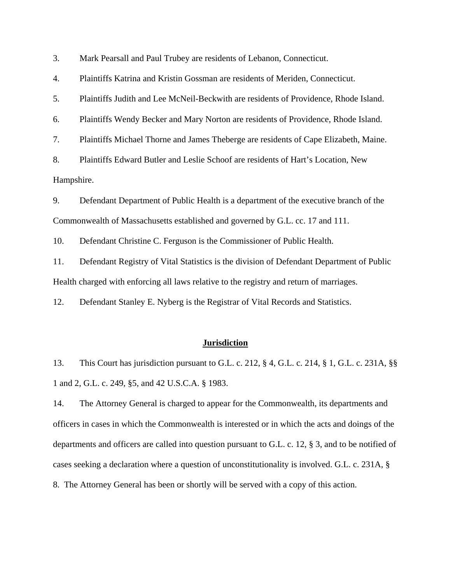3. Mark Pearsall and Paul Trubey are residents of Lebanon, Connecticut.

4. Plaintiffs Katrina and Kristin Gossman are residents of Meriden, Connecticut.

5. Plaintiffs Judith and Lee McNeil-Beckwith are residents of Providence, Rhode Island.

6. Plaintiffs Wendy Becker and Mary Norton are residents of Providence, Rhode Island.

7. Plaintiffs Michael Thorne and James Theberge are residents of Cape Elizabeth, Maine.

8. Plaintiffs Edward Butler and Leslie Schoof are residents of Hart's Location, New

Hampshire.

9. Defendant Department of Public Health is a department of the executive branch of the Commonwealth of Massachusetts established and governed by G.L. cc. 17 and 111.

10. Defendant Christine C. Ferguson is the Commissioner of Public Health.

11. Defendant Registry of Vital Statistics is the division of Defendant Department of Public Health charged with enforcing all laws relative to the registry and return of marriages.

12. Defendant Stanley E. Nyberg is the Registrar of Vital Records and Statistics.

## **Jurisdiction**

13. This Court has jurisdiction pursuant to G.L. c. 212, § 4, G.L. c. 214, § 1, G.L. c. 231A, §§ 1 and 2, G.L. c. 249, §5, and 42 U.S.C.A. § 1983.

14. The Attorney General is charged to appear for the Commonwealth, its departments and officers in cases in which the Commonwealth is interested or in which the acts and doings of the departments and officers are called into question pursuant to G.L. c. 12, § 3, and to be notified of cases seeking a declaration where a question of unconstitutionality is involved. G.L. c. 231A, § 8. The Attorney General has been or shortly will be served with a copy of this action.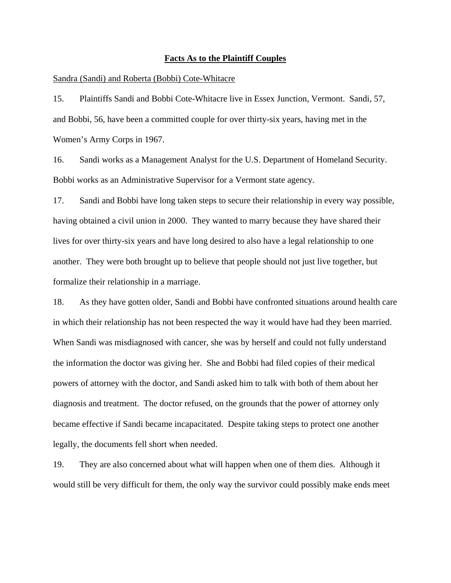#### **Facts As to the Plaintiff Couples**

#### Sandra (Sandi) and Roberta (Bobbi) Cote-Whitacre

15. Plaintiffs Sandi and Bobbi Cote-Whitacre live in Essex Junction, Vermont. Sandi, 57, and Bobbi, 56, have been a committed couple for over thirty-six years, having met in the Women's Army Corps in 1967.

16. Sandi works as a Management Analyst for the U.S. Department of Homeland Security. Bobbi works as an Administrative Supervisor for a Vermont state agency.

17. Sandi and Bobbi have long taken steps to secure their relationship in every way possible, having obtained a civil union in 2000. They wanted to marry because they have shared their lives for over thirty-six years and have long desired to also have a legal relationship to one another. They were both brought up to believe that people should not just live together, but formalize their relationship in a marriage.

18. As they have gotten older, Sandi and Bobbi have confronted situations around health care in which their relationship has not been respected the way it would have had they been married. When Sandi was misdiagnosed with cancer, she was by herself and could not fully understand the information the doctor was giving her. She and Bobbi had filed copies of their medical powers of attorney with the doctor, and Sandi asked him to talk with both of them about her diagnosis and treatment. The doctor refused, on the grounds that the power of attorney only became effective if Sandi became incapacitated. Despite taking steps to protect one another legally, the documents fell short when needed.

19. They are also concerned about what will happen when one of them dies. Although it would still be very difficult for them, the only way the survivor could possibly make ends meet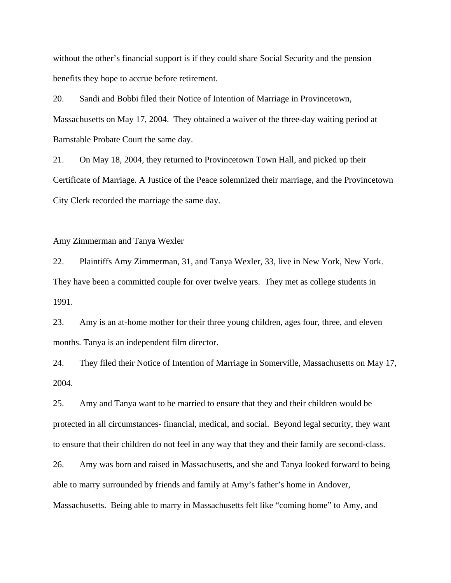without the other's financial support is if they could share Social Security and the pension benefits they hope to accrue before retirement.

20. Sandi and Bobbi filed their Notice of Intention of Marriage in Provincetown, Massachusetts on May 17, 2004. They obtained a waiver of the three-day waiting period at Barnstable Probate Court the same day.

21. On May 18, 2004, they returned to Provincetown Town Hall, and picked up their Certificate of Marriage. A Justice of the Peace solemnized their marriage, and the Provincetown City Clerk recorded the marriage the same day.

#### Amy Zimmerman and Tanya Wexler

22. Plaintiffs Amy Zimmerman, 31, and Tanya Wexler, 33, live in New York, New York. They have been a committed couple for over twelve years. They met as college students in 1991.

23. Amy is an at-home mother for their three young children, ages four, three, and eleven months. Tanya is an independent film director.

24. They filed their Notice of Intention of Marriage in Somerville, Massachusetts on May 17, 2004.

25. Amy and Tanya want to be married to ensure that they and their children would be protected in all circumstances- financial, medical, and social. Beyond legal security, they want to ensure that their children do not feel in any way that they and their family are second-class.

26. Amy was born and raised in Massachusetts, and she and Tanya looked forward to being able to marry surrounded by friends and family at Amy's father's home in Andover, Massachusetts. Being able to marry in Massachusetts felt like "coming home" to Amy, and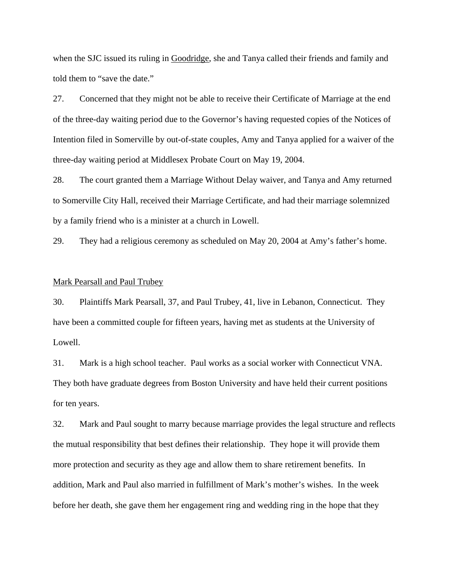when the SJC issued its ruling in Goodridge, she and Tanya called their friends and family and told them to "save the date."

27. Concerned that they might not be able to receive their Certificate of Marriage at the end of the three-day waiting period due to the Governor's having requested copies of the Notices of Intention filed in Somerville by out-of-state couples, Amy and Tanya applied for a waiver of the three-day waiting period at Middlesex Probate Court on May 19, 2004.

28. The court granted them a Marriage Without Delay waiver, and Tanya and Amy returned to Somerville City Hall, received their Marriage Certificate, and had their marriage solemnized by a family friend who is a minister at a church in Lowell.

29. They had a religious ceremony as scheduled on May 20, 2004 at Amy's father's home.

## Mark Pearsall and Paul Trubey

30. Plaintiffs Mark Pearsall, 37, and Paul Trubey, 41, live in Lebanon, Connecticut. They have been a committed couple for fifteen years, having met as students at the University of Lowell.

31. Mark is a high school teacher. Paul works as a social worker with Connecticut VNA. They both have graduate degrees from Boston University and have held their current positions for ten years.

32. Mark and Paul sought to marry because marriage provides the legal structure and reflects the mutual responsibility that best defines their relationship. They hope it will provide them more protection and security as they age and allow them to share retirement benefits. In addition, Mark and Paul also married in fulfillment of Mark's mother's wishes. In the week before her death, she gave them her engagement ring and wedding ring in the hope that they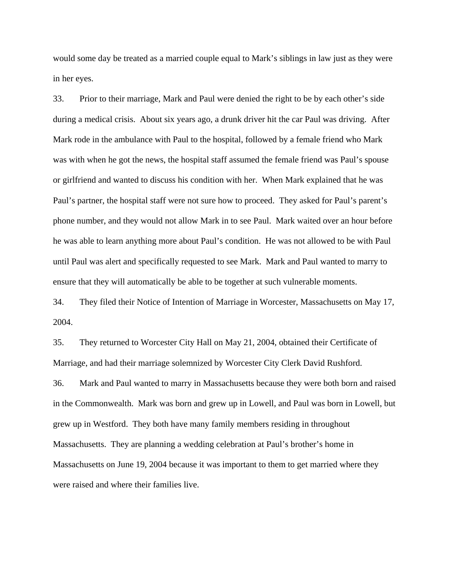would some day be treated as a married couple equal to Mark's siblings in law just as they were in her eyes.

33. Prior to their marriage, Mark and Paul were denied the right to be by each other's side during a medical crisis. About six years ago, a drunk driver hit the car Paul was driving. After Mark rode in the ambulance with Paul to the hospital, followed by a female friend who Mark was with when he got the news, the hospital staff assumed the female friend was Paul's spouse or girlfriend and wanted to discuss his condition with her. When Mark explained that he was Paul's partner, the hospital staff were not sure how to proceed. They asked for Paul's parent's phone number, and they would not allow Mark in to see Paul. Mark waited over an hour before he was able to learn anything more about Paul's condition. He was not allowed to be with Paul until Paul was alert and specifically requested to see Mark. Mark and Paul wanted to marry to ensure that they will automatically be able to be together at such vulnerable moments.

34. They filed their Notice of Intention of Marriage in Worcester, Massachusetts on May 17, 2004.

35. They returned to Worcester City Hall on May 21, 2004, obtained their Certificate of Marriage, and had their marriage solemnized by Worcester City Clerk David Rushford.

36. Mark and Paul wanted to marry in Massachusetts because they were both born and raised in the Commonwealth. Mark was born and grew up in Lowell, and Paul was born in Lowell, but grew up in Westford. They both have many family members residing in throughout Massachusetts. They are planning a wedding celebration at Paul's brother's home in Massachusetts on June 19, 2004 because it was important to them to get married where they were raised and where their families live.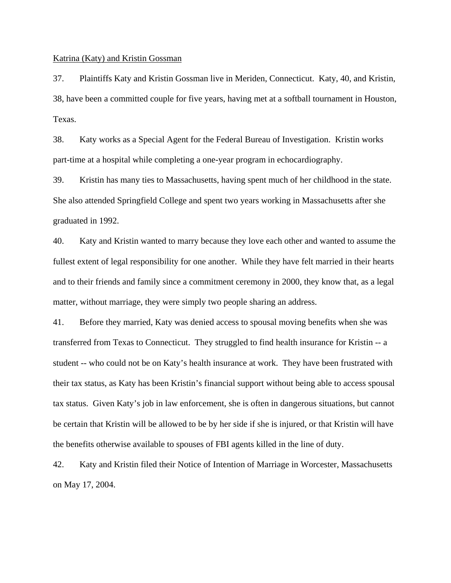## Katrina (Katy) and Kristin Gossman

37. Plaintiffs Katy and Kristin Gossman live in Meriden, Connecticut. Katy, 40, and Kristin, 38, have been a committed couple for five years, having met at a softball tournament in Houston, Texas.

38. Katy works as a Special Agent for the Federal Bureau of Investigation. Kristin works part-time at a hospital while completing a one-year program in echocardiography.

39. Kristin has many ties to Massachusetts, having spent much of her childhood in the state. She also attended Springfield College and spent two years working in Massachusetts after she graduated in 1992.

40. Katy and Kristin wanted to marry because they love each other and wanted to assume the fullest extent of legal responsibility for one another. While they have felt married in their hearts and to their friends and family since a commitment ceremony in 2000, they know that, as a legal matter, without marriage, they were simply two people sharing an address.

41. Before they married, Katy was denied access to spousal moving benefits when she was transferred from Texas to Connecticut. They struggled to find health insurance for Kristin -- a student -- who could not be on Katy's health insurance at work. They have been frustrated with their tax status, as Katy has been Kristin's financial support without being able to access spousal tax status. Given Katy's job in law enforcement, she is often in dangerous situations, but cannot be certain that Kristin will be allowed to be by her side if she is injured, or that Kristin will have the benefits otherwise available to spouses of FBI agents killed in the line of duty.

42. Katy and Kristin filed their Notice of Intention of Marriage in Worcester, Massachusetts on May 17, 2004.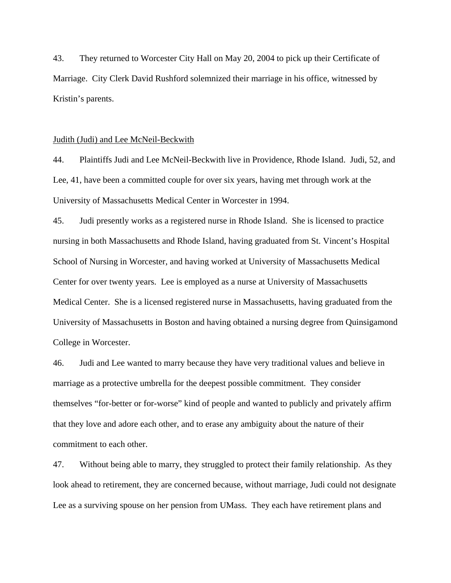43. They returned to Worcester City Hall on May 20, 2004 to pick up their Certificate of Marriage. City Clerk David Rushford solemnized their marriage in his office, witnessed by Kristin's parents.

#### Judith (Judi) and Lee McNeil-Beckwith

44. Plaintiffs Judi and Lee McNeil-Beckwith live in Providence, Rhode Island. Judi, 52, and Lee, 41, have been a committed couple for over six years, having met through work at the University of Massachusetts Medical Center in Worcester in 1994.

45. Judi presently works as a registered nurse in Rhode Island. She is licensed to practice nursing in both Massachusetts and Rhode Island, having graduated from St. Vincent's Hospital School of Nursing in Worcester, and having worked at University of Massachusetts Medical Center for over twenty years. Lee is employed as a nurse at University of Massachusetts Medical Center. She is a licensed registered nurse in Massachusetts, having graduated from the University of Massachusetts in Boston and having obtained a nursing degree from Quinsigamond College in Worcester.

46. Judi and Lee wanted to marry because they have very traditional values and believe in marriage as a protective umbrella for the deepest possible commitment. They consider themselves "for-better or for-worse" kind of people and wanted to publicly and privately affirm that they love and adore each other, and to erase any ambiguity about the nature of their commitment to each other.

47. Without being able to marry, they struggled to protect their family relationship. As they look ahead to retirement, they are concerned because, without marriage, Judi could not designate Lee as a surviving spouse on her pension from UMass. They each have retirement plans and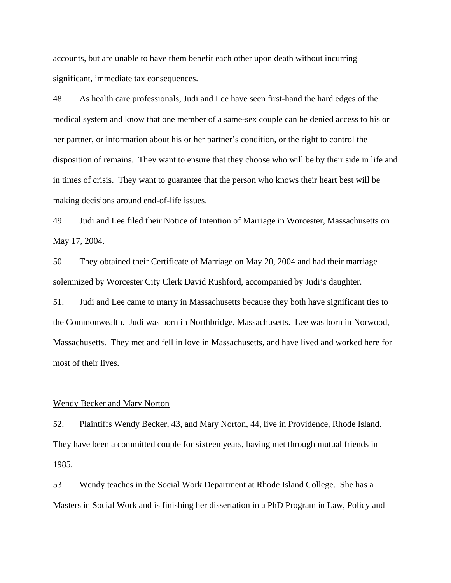accounts, but are unable to have them benefit each other upon death without incurring significant, immediate tax consequences.

48. As health care professionals, Judi and Lee have seen first-hand the hard edges of the medical system and know that one member of a same-sex couple can be denied access to his or her partner, or information about his or her partner's condition, or the right to control the disposition of remains. They want to ensure that they choose who will be by their side in life and in times of crisis. They want to guarantee that the person who knows their heart best will be making decisions around end-of-life issues.

49. Judi and Lee filed their Notice of Intention of Marriage in Worcester, Massachusetts on May 17, 2004.

50. They obtained their Certificate of Marriage on May 20, 2004 and had their marriage solemnized by Worcester City Clerk David Rushford, accompanied by Judi's daughter.

51. Judi and Lee came to marry in Massachusetts because they both have significant ties to the Commonwealth. Judi was born in Northbridge, Massachusetts. Lee was born in Norwood, Massachusetts. They met and fell in love in Massachusetts, and have lived and worked here for most of their lives.

#### Wendy Becker and Mary Norton

52. Plaintiffs Wendy Becker, 43, and Mary Norton, 44, live in Providence, Rhode Island. They have been a committed couple for sixteen years, having met through mutual friends in 1985.

53. Wendy teaches in the Social Work Department at Rhode Island College. She has a Masters in Social Work and is finishing her dissertation in a PhD Program in Law, Policy and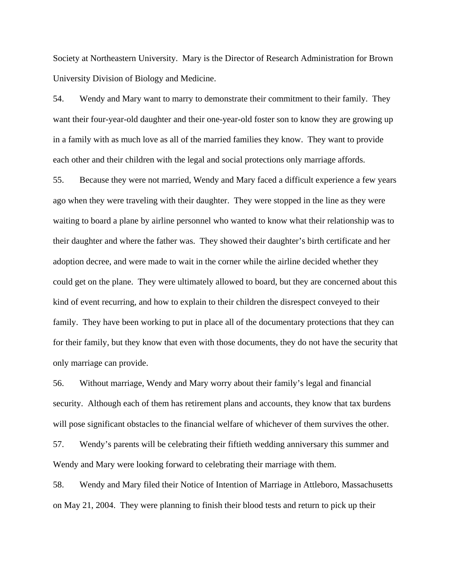Society at Northeastern University. Mary is the Director of Research Administration for Brown University Division of Biology and Medicine.

54. Wendy and Mary want to marry to demonstrate their commitment to their family. They want their four-year-old daughter and their one-year-old foster son to know they are growing up in a family with as much love as all of the married families they know. They want to provide each other and their children with the legal and social protections only marriage affords.

55. Because they were not married, Wendy and Mary faced a difficult experience a few years ago when they were traveling with their daughter. They were stopped in the line as they were waiting to board a plane by airline personnel who wanted to know what their relationship was to their daughter and where the father was. They showed their daughter's birth certificate and her adoption decree, and were made to wait in the corner while the airline decided whether they could get on the plane. They were ultimately allowed to board, but they are concerned about this kind of event recurring, and how to explain to their children the disrespect conveyed to their family. They have been working to put in place all of the documentary protections that they can for their family, but they know that even with those documents, they do not have the security that only marriage can provide.

56. Without marriage, Wendy and Mary worry about their family's legal and financial security. Although each of them has retirement plans and accounts, they know that tax burdens will pose significant obstacles to the financial welfare of whichever of them survives the other.

57. Wendy's parents will be celebrating their fiftieth wedding anniversary this summer and Wendy and Mary were looking forward to celebrating their marriage with them.

58. Wendy and Mary filed their Notice of Intention of Marriage in Attleboro, Massachusetts on May 21, 2004. They were planning to finish their blood tests and return to pick up their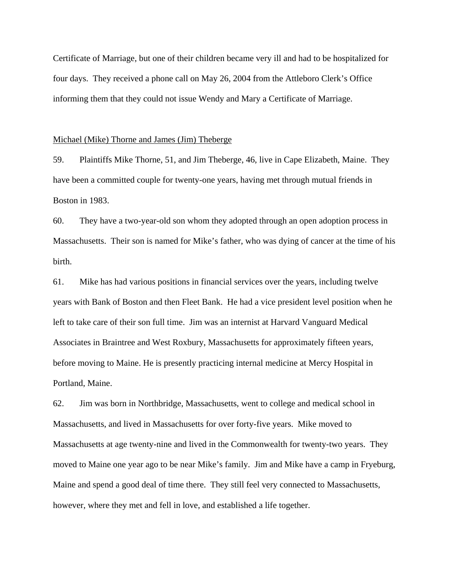Certificate of Marriage, but one of their children became very ill and had to be hospitalized for four days. They received a phone call on May 26, 2004 from the Attleboro Clerk's Office informing them that they could not issue Wendy and Mary a Certificate of Marriage.

## Michael (Mike) Thorne and James (Jim) Theberge

59. Plaintiffs Mike Thorne, 51, and Jim Theberge, 46, live in Cape Elizabeth, Maine. They have been a committed couple for twenty-one years, having met through mutual friends in Boston in 1983.

60. They have a two-year-old son whom they adopted through an open adoption process in Massachusetts. Their son is named for Mike's father, who was dying of cancer at the time of his birth.

61. Mike has had various positions in financial services over the years, including twelve years with Bank of Boston and then Fleet Bank. He had a vice president level position when he left to take care of their son full time. Jim was an internist at Harvard Vanguard Medical Associates in Braintree and West Roxbury, Massachusetts for approximately fifteen years, before moving to Maine. He is presently practicing internal medicine at Mercy Hospital in Portland, Maine.

62. Jim was born in Northbridge, Massachusetts, went to college and medical school in Massachusetts, and lived in Massachusetts for over forty-five years. Mike moved to Massachusetts at age twenty-nine and lived in the Commonwealth for twenty-two years. They moved to Maine one year ago to be near Mike's family. Jim and Mike have a camp in Fryeburg, Maine and spend a good deal of time there. They still feel very connected to Massachusetts, however, where they met and fell in love, and established a life together.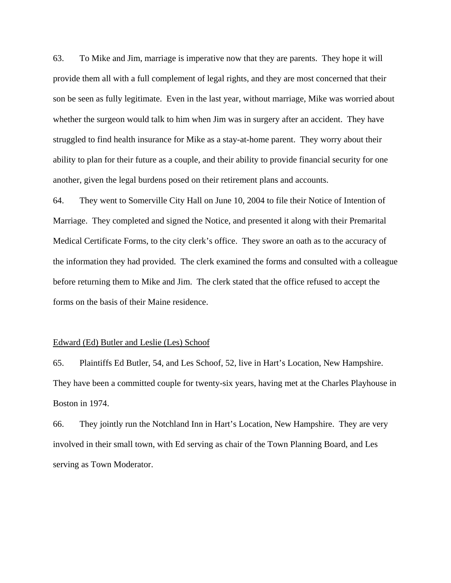63. To Mike and Jim, marriage is imperative now that they are parents. They hope it will provide them all with a full complement of legal rights, and they are most concerned that their son be seen as fully legitimate. Even in the last year, without marriage, Mike was worried about whether the surgeon would talk to him when Jim was in surgery after an accident. They have struggled to find health insurance for Mike as a stay-at-home parent. They worry about their ability to plan for their future as a couple, and their ability to provide financial security for one another, given the legal burdens posed on their retirement plans and accounts.

64. They went to Somerville City Hall on June 10, 2004 to file their Notice of Intention of Marriage. They completed and signed the Notice, and presented it along with their Premarital Medical Certificate Forms, to the city clerk's office. They swore an oath as to the accuracy of the information they had provided. The clerk examined the forms and consulted with a colleague before returning them to Mike and Jim. The clerk stated that the office refused to accept the forms on the basis of their Maine residence.

#### Edward (Ed) Butler and Leslie (Les) Schoof

65. Plaintiffs Ed Butler, 54, and Les Schoof, 52, live in Hart's Location, New Hampshire. They have been a committed couple for twenty-six years, having met at the Charles Playhouse in Boston in 1974.

66. They jointly run the Notchland Inn in Hart's Location, New Hampshire. They are very involved in their small town, with Ed serving as chair of the Town Planning Board, and Les serving as Town Moderator.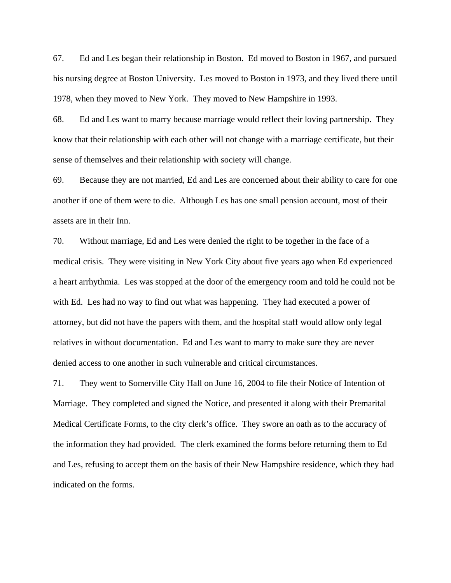67. Ed and Les began their relationship in Boston. Ed moved to Boston in 1967, and pursued his nursing degree at Boston University. Les moved to Boston in 1973, and they lived there until 1978, when they moved to New York. They moved to New Hampshire in 1993.

68. Ed and Les want to marry because marriage would reflect their loving partnership. They know that their relationship with each other will not change with a marriage certificate, but their sense of themselves and their relationship with society will change.

69. Because they are not married, Ed and Les are concerned about their ability to care for one another if one of them were to die. Although Les has one small pension account, most of their assets are in their Inn.

70. Without marriage, Ed and Les were denied the right to be together in the face of a medical crisis. They were visiting in New York City about five years ago when Ed experienced a heart arrhythmia. Les was stopped at the door of the emergency room and told he could not be with Ed. Les had no way to find out what was happening. They had executed a power of attorney, but did not have the papers with them, and the hospital staff would allow only legal relatives in without documentation. Ed and Les want to marry to make sure they are never denied access to one another in such vulnerable and critical circumstances.

71. They went to Somerville City Hall on June 16, 2004 to file their Notice of Intention of Marriage. They completed and signed the Notice, and presented it along with their Premarital Medical Certificate Forms, to the city clerk's office. They swore an oath as to the accuracy of the information they had provided. The clerk examined the forms before returning them to Ed and Les, refusing to accept them on the basis of their New Hampshire residence, which they had indicated on the forms.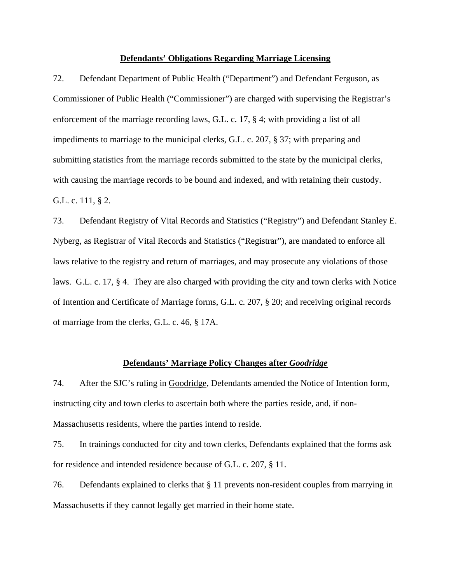#### **Defendants' Obligations Regarding Marriage Licensing**

72. Defendant Department of Public Health ("Department") and Defendant Ferguson, as Commissioner of Public Health ("Commissioner") are charged with supervising the Registrar's enforcement of the marriage recording laws, G.L. c. 17, § 4; with providing a list of all impediments to marriage to the municipal clerks, G.L. c. 207, § 37; with preparing and submitting statistics from the marriage records submitted to the state by the municipal clerks, with causing the marriage records to be bound and indexed, and with retaining their custody. G.L. c. 111, § 2.

73. Defendant Registry of Vital Records and Statistics ("Registry") and Defendant Stanley E. Nyberg, as Registrar of Vital Records and Statistics ("Registrar"), are mandated to enforce all laws relative to the registry and return of marriages, and may prosecute any violations of those laws. G.L. c. 17, § 4. They are also charged with providing the city and town clerks with Notice of Intention and Certificate of Marriage forms, G.L. c. 207, § 20; and receiving original records of marriage from the clerks, G.L. c. 46, § 17A.

## **Defendants' Marriage Policy Changes after** *Goodridge*

74. After the SJC's ruling in Goodridge, Defendants amended the Notice of Intention form, instructing city and town clerks to ascertain both where the parties reside, and, if non-Massachusetts residents, where the parties intend to reside.

75. In trainings conducted for city and town clerks, Defendants explained that the forms ask for residence and intended residence because of G.L. c. 207, § 11.

76. Defendants explained to clerks that § 11 prevents non-resident couples from marrying in Massachusetts if they cannot legally get married in their home state.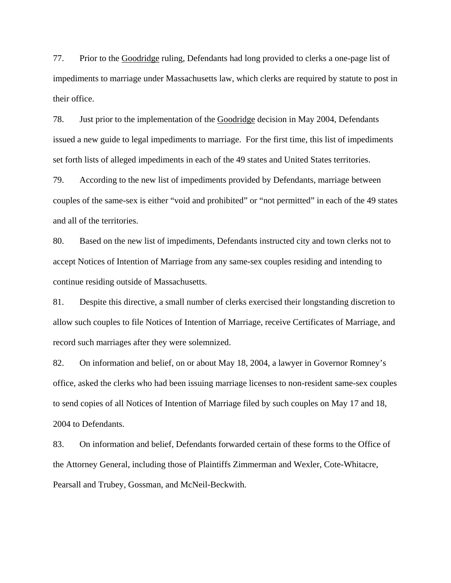77. Prior to the Goodridge ruling, Defendants had long provided to clerks a one-page list of impediments to marriage under Massachusetts law, which clerks are required by statute to post in their office.

78. Just prior to the implementation of the Goodridge decision in May 2004, Defendants issued a new guide to legal impediments to marriage. For the first time, this list of impediments set forth lists of alleged impediments in each of the 49 states and United States territories.

79. According to the new list of impediments provided by Defendants, marriage between couples of the same-sex is either "void and prohibited" or "not permitted" in each of the 49 states and all of the territories.

80. Based on the new list of impediments, Defendants instructed city and town clerks not to accept Notices of Intention of Marriage from any same-sex couples residing and intending to continue residing outside of Massachusetts.

81. Despite this directive, a small number of clerks exercised their longstanding discretion to allow such couples to file Notices of Intention of Marriage, receive Certificates of Marriage, and record such marriages after they were solemnized.

82. On information and belief, on or about May 18, 2004, a lawyer in Governor Romney's office, asked the clerks who had been issuing marriage licenses to non-resident same-sex couples to send copies of all Notices of Intention of Marriage filed by such couples on May 17 and 18, 2004 to Defendants.

83. On information and belief, Defendants forwarded certain of these forms to the Office of the Attorney General, including those of Plaintiffs Zimmerman and Wexler, Cote-Whitacre, Pearsall and Trubey, Gossman, and McNeil-Beckwith.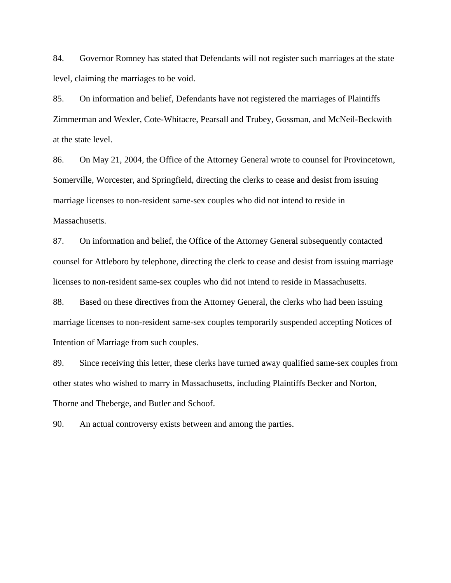84. Governor Romney has stated that Defendants will not register such marriages at the state level, claiming the marriages to be void.

85. On information and belief, Defendants have not registered the marriages of Plaintiffs Zimmerman and Wexler, Cote-Whitacre, Pearsall and Trubey, Gossman, and McNeil-Beckwith at the state level.

86. On May 21, 2004, the Office of the Attorney General wrote to counsel for Provincetown, Somerville, Worcester, and Springfield, directing the clerks to cease and desist from issuing marriage licenses to non-resident same-sex couples who did not intend to reside in Massachusetts.

87. On information and belief, the Office of the Attorney General subsequently contacted counsel for Attleboro by telephone, directing the clerk to cease and desist from issuing marriage licenses to non-resident same-sex couples who did not intend to reside in Massachusetts.

88. Based on these directives from the Attorney General, the clerks who had been issuing marriage licenses to non-resident same-sex couples temporarily suspended accepting Notices of Intention of Marriage from such couples.

89. Since receiving this letter, these clerks have turned away qualified same-sex couples from other states who wished to marry in Massachusetts, including Plaintiffs Becker and Norton, Thorne and Theberge, and Butler and Schoof.

90. An actual controversy exists between and among the parties.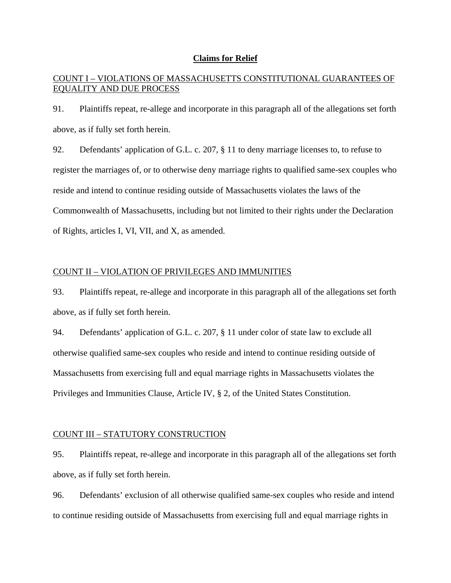## **Claims for Relief**

# COUNT I – VIOLATIONS OF MASSACHUSETTS CONSTITUTIONAL GUARANTEES OF EQUALITY AND DUE PROCESS

91. Plaintiffs repeat, re-allege and incorporate in this paragraph all of the allegations set forth above, as if fully set forth herein.

92. Defendants' application of G.L. c. 207, § 11 to deny marriage licenses to, to refuse to register the marriages of, or to otherwise deny marriage rights to qualified same-sex couples who reside and intend to continue residing outside of Massachusetts violates the laws of the Commonwealth of Massachusetts, including but not limited to their rights under the Declaration of Rights, articles I, VI, VII, and X, as amended.

## COUNT II – VIOLATION OF PRIVILEGES AND IMMUNITIES

93. Plaintiffs repeat, re-allege and incorporate in this paragraph all of the allegations set forth above, as if fully set forth herein.

94. Defendants' application of G.L. c. 207, § 11 under color of state law to exclude all otherwise qualified same-sex couples who reside and intend to continue residing outside of Massachusetts from exercising full and equal marriage rights in Massachusetts violates the Privileges and Immunities Clause, Article IV, § 2, of the United States Constitution.

#### COUNT III – STATUTORY CONSTRUCTION

95. Plaintiffs repeat, re-allege and incorporate in this paragraph all of the allegations set forth above, as if fully set forth herein.

96. Defendants' exclusion of all otherwise qualified same-sex couples who reside and intend to continue residing outside of Massachusetts from exercising full and equal marriage rights in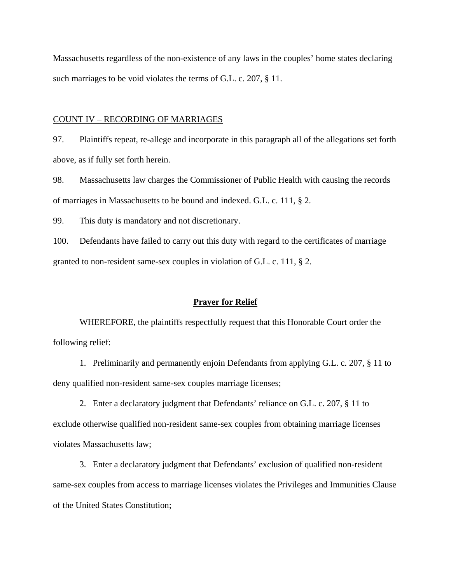Massachusetts regardless of the non-existence of any laws in the couples' home states declaring such marriages to be void violates the terms of G.L. c. 207, § 11.

## COUNT IV – RECORDING OF MARRIAGES

97. Plaintiffs repeat, re-allege and incorporate in this paragraph all of the allegations set forth above, as if fully set forth herein.

98. Massachusetts law charges the Commissioner of Public Health with causing the records of marriages in Massachusetts to be bound and indexed. G.L. c. 111, § 2.

99. This duty is mandatory and not discretionary.

100. Defendants have failed to carry out this duty with regard to the certificates of marriage granted to non-resident same-sex couples in violation of G.L. c. 111, § 2.

#### **Prayer for Relief**

WHEREFORE, the plaintiffs respectfully request that this Honorable Court order the following relief:

1. Preliminarily and permanently enjoin Defendants from applying G.L. c. 207, § 11 to deny qualified non-resident same-sex couples marriage licenses;

2. Enter a declaratory judgment that Defendants' reliance on G.L. c. 207, § 11 to exclude otherwise qualified non-resident same-sex couples from obtaining marriage licenses violates Massachusetts law;

3. Enter a declaratory judgment that Defendants' exclusion of qualified non-resident same-sex couples from access to marriage licenses violates the Privileges and Immunities Clause of the United States Constitution;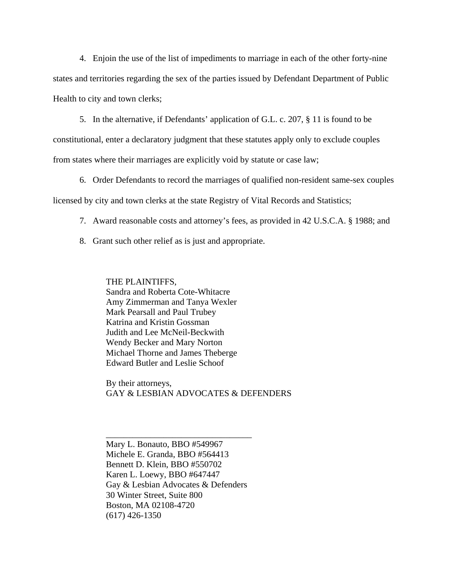4. Enjoin the use of the list of impediments to marriage in each of the other forty-nine states and territories regarding the sex of the parties issued by Defendant Department of Public Health to city and town clerks;

5. In the alternative, if Defendants' application of G.L. c. 207, § 11 is found to be constitutional, enter a declaratory judgment that these statutes apply only to exclude couples from states where their marriages are explicitly void by statute or case law;

6. Order Defendants to record the marriages of qualified non-resident same-sex couples licensed by city and town clerks at the state Registry of Vital Records and Statistics;

- 7. Award reasonable costs and attorney's fees, as provided in 42 U.S.C.A. § 1988; and
- 8. Grant such other relief as is just and appropriate.

THE PLAINTIFFS, Sandra and Roberta Cote-Whitacre Amy Zimmerman and Tanya Wexler Mark Pearsall and Paul Trubey Katrina and Kristin Gossman Judith and Lee McNeil-Beckwith Wendy Becker and Mary Norton Michael Thorne and James Theberge Edward Butler and Leslie Schoof

By their attorneys, GAY & LESBIAN ADVOCATES & DEFENDERS

Mary L. Bonauto, BBO #549967 Michele E. Granda, BBO #564413 Bennett D. Klein, BBO #550702 Karen L. Loewy, BBO #647447 Gay & Lesbian Advocates & Defenders 30 Winter Street, Suite 800 Boston, MA 02108-4720 (617) 426-1350

\_\_\_\_\_\_\_\_\_\_\_\_\_\_\_\_\_\_\_\_\_\_\_\_\_\_\_\_\_\_\_\_\_